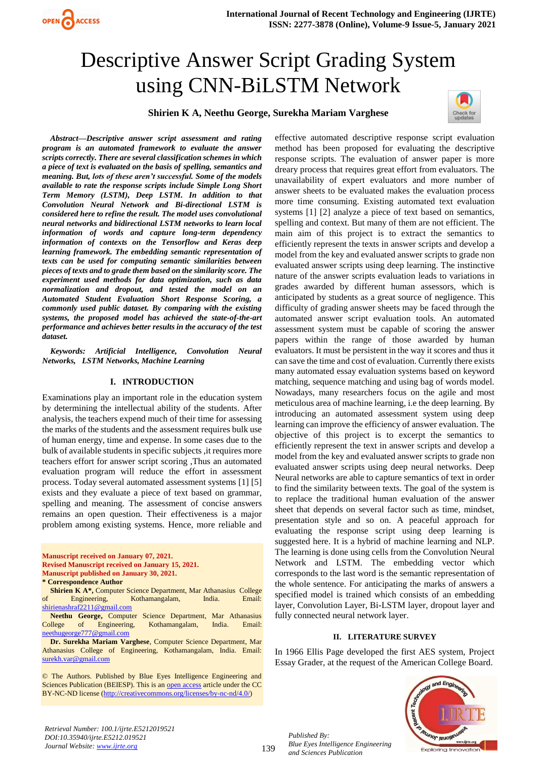

# Descriptive Answer Script Grading System using CNN-BiLSTM Network

# **Shirien K A, Neethu George, Surekha Mariam Varghese**



*Abstract—Descriptive answer script assessment and rating program is an automated framework to evaluate the answer scripts correctly. There are several classification schemes in which a piece of text is evaluated on the basis of spelling, semantics and meaning. But, lots of these aren't successful. Some of the models available to rate the response scripts include Simple Long Short Term Memory (LSTM), Deep LSTM. In addition to that Convolution Neural Network and Bi-directional LSTM is considered here to refine the result. The model uses convolutional neural networks and bidirectional LSTM networks to learn local information of words and capture long-term dependency information of contexts on the Tensorflow and Keras deep learning framework. The embedding semantic representation of texts can be used for computing semantic similarities between pieces of texts and to grade them based on the similarity score. The experiment used methods for data optimization, such as data normalization and dropout, and tested the model on an Automated Student Evaluation Short Response Scoring, a commonly used public dataset. By comparing with the existing systems, the proposed model has achieved the state-of-the-art performance and achieves better results in the accuracy of the test dataset.*

*Keywords: Artificial Intelligence, Convolution Neural Networks, LSTM Networks, Machine Learning*

# **I. INTRODUCTION**

Examinations play an important role in the education system by determining the intellectual ability of the students. After analysis, the teachers expend much of their time for assessing the marks of the students and the assessment requires bulk use of human energy, time and expense. In some cases due to the bulk of available students in specific subjects ,it requires more teachers effort for answer script scoring ,Thus an automated evaluation program will reduce the effort in assessment process. Today several automated assessment systems [1] [5] exists and they evaluate a piece of text based on grammar, spelling and meaning. The assessment of concise answers remains an open question. Their effectiveness is a major problem among existing systems. Hence, more reliable and

**Manuscript received on January 07, 2021. Revised Manuscript received on January 15, 2021. Manuscript published on January 30, 2021. \* Correspondence Author**

**Neethu George,** Computer Science Department, Mar Athanasius College of Engineering, Kothamangalam, India. Email: [neethugeorge777@gmail.com](mailto:neethugeorge777@gmail.com)

**Dr. Surekha Mariam Varghese**, Computer Science Department, Mar Athanasius College of Engineering, Kothamangalam, India. Email: [surekh.var@gmail.com](mailto:surekh.var@gmail.com)

© The Authors. Published by Blue Eyes Intelligence Engineering and Sciences Publication (BEIESP). This is an [open access](https://www.openaccess.nl/en/open-publications) article under the CC BY-NC-ND license [\(http://creativecommons.org/licenses/by-nc-nd/4.0/\)](http://creativecommons.org/licenses/by-nc-nd/4.0/)

effective automated descriptive response script evaluation method has been proposed for evaluating the descriptive response scripts. The evaluation of answer paper is more dreary process that requires great effort from evaluators. The unavailability of expert evaluators and more number of answer sheets to be evaluated makes the evaluation process more time consuming. Existing automated text evaluation systems [1] [2] analyze a piece of text based on semantics, spelling and context. But many of them are not efficient. The main aim of this project is to extract the semantics to efficiently represent the texts in answer scripts and develop a model from the key and evaluated answer scripts to grade non evaluated answer scripts using deep learning. The instinctive nature of the answer scripts evaluation leads to variations in grades awarded by different human assessors, which is anticipated by students as a great source of negligence. This difficulty of grading answer sheets may be faced through the automated answer script evaluation tools. An automated assessment system must be capable of scoring the answer papers within the range of those awarded by human evaluators. It must be persistent in the way it scores and thus it can save the time and cost of evaluation. Currently there exists many automated essay evaluation systems based on keyword matching, sequence matching and using bag of words model. Nowadays, many researchers focus on the agile and most meticulous area of machine learning, i.e the deep learning. By introducing an automated assessment system using deep learning can improve the efficiency of answer evaluation. The objective of this project is to excerpt the semantics to efficiently represent the text in answer scripts and develop a model from the key and evaluated answer scripts to grade non evaluated answer scripts using deep neural networks. Deep Neural networks are able to capture semantics of text in order to find the similarity between texts. The goal of the system is to replace the traditional human evaluation of the answer sheet that depends on several factor such as time, mindset, presentation style and so on. A peaceful approach for evaluating the response script using deep learning is suggested here. It is a hybrid of machine learning and NLP. The learning is done using cells from the Convolution Neural Network and LSTM. The embedding vector which corresponds to the last word is the semantic representation of the whole sentence. For anticipating the marks of answers a specified model is trained which consists of an embedding layer, Convolution Layer, Bi-LSTM layer, dropout layer and fully connected neural network layer.

#### **II. LITERATURE SURVEY**

In 1966 Ellis Page developed the first AES system, Project Essay Grader, at the request of the American College Board.



139

*Published By: Blue Eyes Intelligence Engineering and Sciences Publication* 

**Shirien K A\*,** Computer Science Department, Mar Athanasius College of Engineering, Kothamangalam, India. Email: [shirienashraf2211@gmail.com](mailto:shirienashraf2211@gmail.com)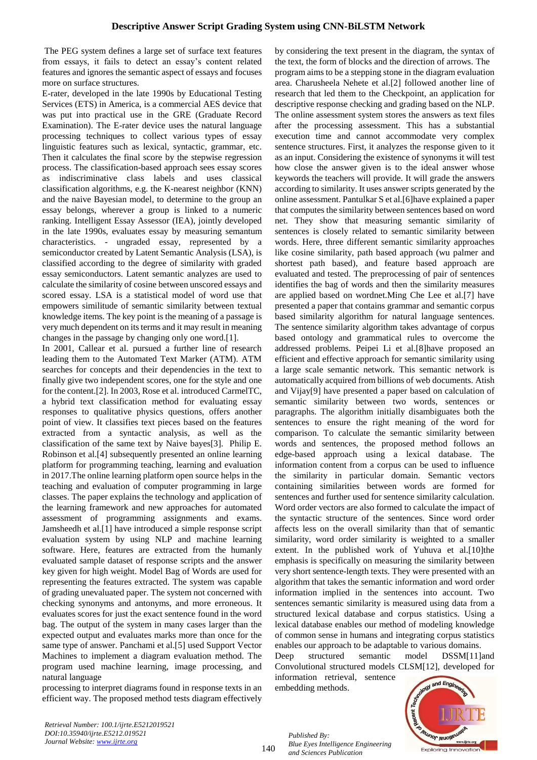The PEG system defines a large set of surface text features from essays, it fails to detect an essay's content related features and ignores the semantic aspect of essays and focuses more on surface structures.

E-rater, developed in the late 1990s by Educational Testing Services (ETS) in America, is a commercial AES device that was put into practical use in the GRE (Graduate Record Examination). The E-rater device uses the natural language processing techniques to collect various types of essay linguistic features such as lexical, syntactic, grammar, etc. Then it calculates the final score by the stepwise regression process. The classification-based approach sees essay scores as indiscriminative class labels and uses classical classification algorithms, e.g. the K-nearest neighbor (KNN) and the naive Bayesian model, to determine to the group an essay belongs, wherever a group is linked to a numeric ranking. Intelligent Essay Assessor (IEA), jointly developed in the late 1990s, evaluates essay by measuring semantum characteristics. - ungraded essay, represented by a semiconductor created by Latent Semantic Analysis (LSA), is classified according to the degree of similarity with graded essay semiconductors. Latent semantic analyzes are used to calculate the similarity of cosine between unscored essays and scored essay. LSA is a statistical model of word use that empowers similitude of semantic similarity between textual knowledge items. The key point is the meaning of a passage is very much dependent on its terms and it may result in meaning changes in the passage by changing only one word.[1].

In 2001, Callear et al. pursued a further line of research leading them to the Automated Text Marker (ATM). ATM searches for concepts and their dependencies in the text to finally give two independent scores, one for the style and one for the content.[2]. In 2003, Rose et al. introduced CarmelTC, a hybrid text classification method for evaluating essay responses to qualitative physics questions, offers another point of view. It classifies text pieces based on the features extracted from a syntactic analysis, as well as the classification of the same text by Naive bayes[3]. Philip E. Robinson et al.[4] subsequently presented an online learning platform for programming teaching, learning and evaluation in 2017.The online learning platform open source helps in the teaching and evaluation of computer programming in large classes. The paper explains the technology and application of the learning framework and new approaches for automated assessment of programming assignments and exams. Jamsheedh et al.[1] have introduced a simple response script evaluation system by using NLP and machine learning software. Here, features are extracted from the humanly evaluated sample dataset of response scripts and the answer key given for high weight. Model Bag of Words are used for representing the features extracted. The system was capable of grading unevaluated paper. The system not concerned with checking synonyms and antonyms, and more erroneous. It evaluates scores for just the exact sentence found in the word bag. The output of the system in many cases larger than the expected output and evaluates marks more than once for the same type of answer. Panchami et al.[5] used Support Vector Machines to implement a diagram evaluation method. The program used machine learning, image processing, and natural language

processing to interpret diagrams found in response texts in an efficient way. The proposed method tests diagram effectively by considering the text present in the diagram, the syntax of the text, the form of blocks and the direction of arrows. The program aims to be a stepping stone in the diagram evaluation area. Charusheela Nehete et al.[2] followed another line of research that led them to the Checkpoint, an application for descriptive response checking and grading based on the NLP. The online assessment system stores the answers as text files after the processing assessment. This has a substantial execution time and cannot accommodate very complex sentence structures. First, it analyzes the response given to it as an input. Considering the existence of synonyms it will test how close the answer given is to the ideal answer whose keywords the teachers will provide. It will grade the answers according to similarity. It uses answer scripts generated by the online assessment. Pantulkar S et al.[6]have explained a paper that computes the similarity between sentences based on word net. They show that measuring semantic similarity of sentences is closely related to semantic similarity between words. Here, three different semantic similarity approaches like cosine similarity, path based approach (wu palmer and shortest path based), and feature based approach are evaluated and tested. The preprocessing of pair of sentences identifies the bag of words and then the similarity measures are applied based on wordnet.Ming Che Lee et al.[7] have presented a paper that contains grammar and semantic corpus based similarity algorithm for natural language sentences. The sentence similarity algorithm takes advantage of corpus based ontology and grammatical rules to overcome the addressed problems. Peipei Li et al.[8]have proposed an efficient and effective approach for semantic similarity using a large scale semantic network. This semantic network is automatically acquired from billions of web documents. Atish and Vijay[9] have presented a paper based on calculation of semantic similarity between two words, sentences or paragraphs. The algorithm initially disambiguates both the sentences to ensure the right meaning of the word for comparison. To calculate the semantic similarity between words and sentences, the proposed method follows an edge-based approach using a lexical database. The information content from a corpus can be used to influence the similarity in particular domain. Semantic vectors containing similarities between words are formed for sentences and further used for sentence similarity calculation. Word order vectors are also formed to calculate the impact of the syntactic structure of the sentences. Since word order affects less on the overall similarity than that of semantic similarity, word order similarity is weighted to a smaller extent. In the published work of Yuhuva et al.[10]the emphasis is specifically on measuring the similarity between very short sentence-length texts. They were presented with an algorithm that takes the semantic information and word order information implied in the sentences into account. Two sentences semantic similarity is measured using data from a structured lexical database and corpus statistics. Using a lexical database enables our method of modeling knowledge of common sense in humans and integrating corpus statistics enables our approach to be adaptable to various domains.

Deep structured semantic model DSSM[11]and Convolutional structured models CLSM[12], developed for information retrieval, sentence embedding methods.



*Retrieval Number: 100.1/ijrte.E5212019521 DOI:10.35940/ijrte.E5212.019521 Journal Website: www.ijrte.org*

140

*Published By: Blue Eyes Intelligence Engineering and Sciences Publication*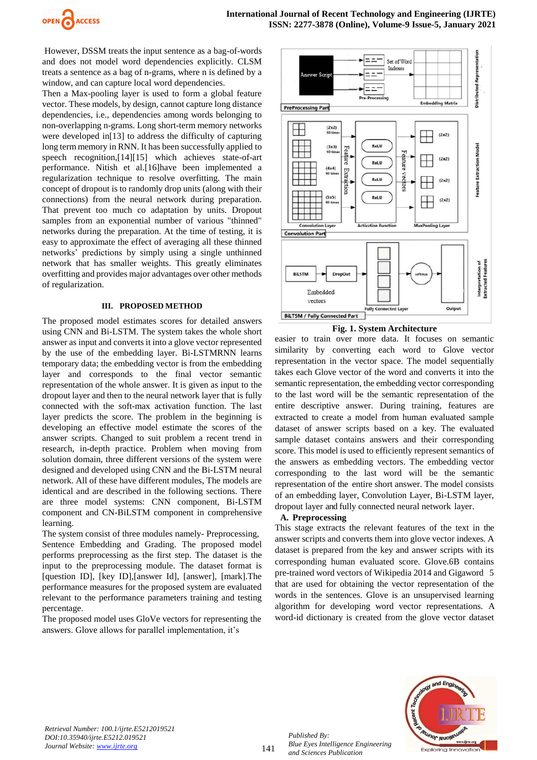

However, DSSM treats the input sentence as a bag-of-words and does not model word dependencies explicitly. CLSM treats a sentence as a bag of n-grams, where n is defined by a window, and can capture local word dependencies.

Then a Max-pooling layer is used to form a global feature vector. These models, by design, cannot capture long distance dependencies, i.e., dependencies among words belonging to non-overlapping n-grams. Long short-term memory networks were developed in[13] to address the difficulty of capturing long term memory in RNN. It has been successfully applied to speech recognition,[14][15] which achieves state-of-art performance. Nitish et al.[16]have been implemented a regularization technique to resolve overfitting. The main concept of dropout is to randomly drop units (along with their connections) from the neural network during preparation. That prevent too much co adaptation by units. Dropout samples from an exponential number of various "thinned" networks during the preparation. At the time of testing, it is easy to approximate the effect of averaging all these thinned networks' predictions by simply using a single unthinned network that has smaller weights. This greatly eliminates overfitting and provides major advantages over other methods of regularization.

#### **III. PROPOSED METHOD**

The proposed model estimates scores for detailed answers using CNN and Bi-LSTM. The system takes the whole short answer as input and converts it into a glove vector represented by the use of the embedding layer. Bi-LSTMRNN learns temporary data; the embedding vector is from the embedding layer and corresponds to the final vector semantic representation of the whole answer. It is given as input to the dropout layer and then to the neural network layer that is fully connected with the soft-max activation function. The last layer predicts the score. The problem in the beginning is developing an effective model estimate the scores of the answer scripts. Changed to suit problem a recent trend in research, in-depth practice. Problem when moving from solution domain, three different versions of the system were designed and developed using CNN and the Bi-LSTM neural network. All of these have different modules, The models are identical and are described in the following sections. There are three model systems: CNN component, Bi-LSTM component and CN-BiLSTM component in comprehensive learning.

The system consist of three modules namely- Preprocessing, Sentence Embedding and Grading. The proposed model performs preprocessing as the first step. The dataset is the input to the preprocessing module. The dataset format is [question ID], [key ID],[answer Id], [answer], [mark].The performance measures for the proposed system are evaluated relevant to the performance parameters training and testing percentage.

The proposed model uses GloVe vectors for representing the answers. Glove allows for parallel implementation, it's





easier to train over more data. It focuses on semantic similarity by converting each word to Glove vector representation in the vector space. The model sequentially takes each Glove vector of the word and converts it into the semantic representation, the embedding vector corresponding to the last word will be the semantic representation of the entire descriptive answer. During training, features are extracted to create a model from human evaluated sample dataset of answer scripts based on a key. The evaluated sample dataset contains answers and their corresponding score. This model is used to efficiently represent semantics of the answers as embedding vectors. The embedding vector corresponding to the last word will be the semantic representation of the entire short answer. The model consists of an embedding layer, Convolution Layer, Bi-LSTM layer, dropout layer and fully connected neural network layer.

# **A. Preprocessing**

This stage extracts the relevant features of the text in the answer scripts and converts them into glove vector indexes. A dataset is prepared from the key and answer scripts with its corresponding human evaluated score. Glove.6B contains pre-trained word vectors of Wikipedia 2014 and Gigaword 5 that are used for obtaining the vector representation of the words in the sentences. Glove is an unsupervised learning algorithm for developing word vector representations. A word-id dictionary is created from the glove vector dataset



141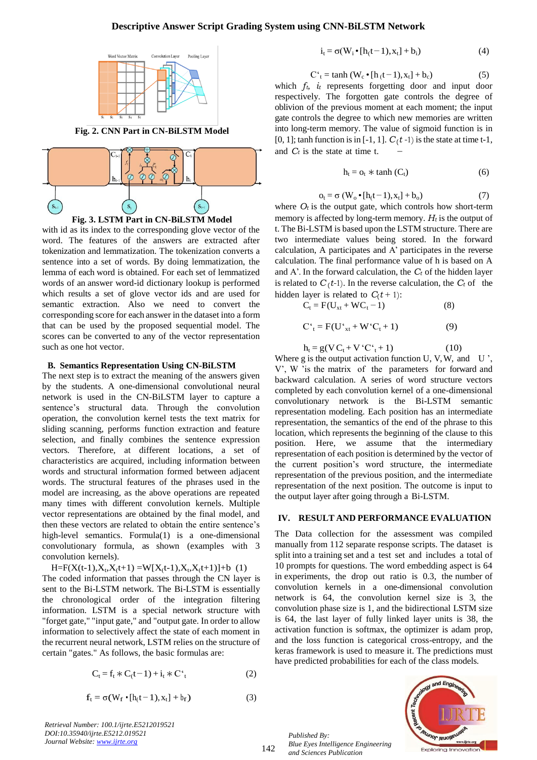#### **Descriptive Answer Script Grading System using CNN-BiLSTM Network**



**Fig. 2. CNN Part in CN-BiLSTM Model**





with id as its index to the corresponding glove vector of the word. The features of the answers are extracted after tokenization and lemmatization. The tokenization converts a sentence into a set of words. By doing lemmatization, the lemma of each word is obtained. For each set of lemmatized words of an answer word-id dictionary lookup is performed which results a set of glove vector ids and are used for semantic extraction. Also we need to convert the corresponding score for each answer in the dataset into a form that can be used by the proposed sequential model. The scores can be converted to any of the vector representation such as one hot vector.

#### **B. Semantics Representation Using CN-BiLSTM**

The next step is to extract the meaning of the answers given by the students. A one-dimensional convolutional neural network is used in the CN-BiLSTM layer to capture a sentence's structural data. Through the convolution operation, the convolution kernel tests the text matrix for sliding scanning, performs function extraction and feature selection, and finally combines the sentence expression vectors. Therefore, at different locations, a set of characteristics are acquired, including information between words and structural information formed between adjacent words. The structural features of the phrases used in the model are increasing, as the above operations are repeated many times with different convolution kernels. Multiple vector representations are obtained by the final model, and then these vectors are related to obtain the entire sentence's high-level semantics. Formula(1) is a one-dimensional convolutionary formula, as shown (examples with 3 convolution kernels).

 $H = F(X(t-1), X_t, X_t+1) = W[X_t-1), X_t, X_t+1] + b(1)$ 

The coded information that passes through the CN layer is sent to the Bi-LSTM network. The Bi-LSTM is essentially the chronological order of the integration filtering information. LSTM is a special network structure with "forget gate," "input gate," and "output gate. In order to allow information to selectively affect the state of each moment in the recurrent neural network, LSTM relies on the structure of certain "gates." As follows, the basic formulas are:

$$
C_t = f_t * C_t - 1 + i_t * C_t'
$$
 (2)

$$
\mathbf{f}_{t} = \sigma(W_{f} \cdot [h_{t}t-1), \mathbf{x}_{t}] + \mathbf{b}_{f}) \tag{3}
$$

*Retrieval Number: 100.1/ijrte.E5212019521 DOI:10.35940/ijrte.E5212.019521 Journal Website: www.ijrte.org*

$$
i_t = \sigma(W_i \bullet [h_(t-1), x_t] + b_i)
$$
\n<sup>(4)</sup>

$$
C'_{t} = \tanh (W_c \cdot [h(t-1), x_t] + b_c)
$$
 (5)

− which  $f_t$ ,  $\dot{t}_t$  represents forgetting door and input door respectively. The forgotten gate controls the degree of oblivion of the previous moment at each moment; the input gate controls the degree to which new memories are written into long-term memory. The value of sigmoid function is in [0, 1]; tanh function is in [-1, 1]. *C* (*t -*1) is the state at time t-1, and *C<sup>t</sup>* is the state at time t.

$$
h_t = o_t * \tanh(C_t) \tag{6}
$$

$$
o_t = \sigma(W_o \bullet [h_(t-1), x_t] + b_o)
$$
\n<sup>(7)</sup>

hidden layer is related to  $C(t + 1)$ : where  $O_t$  is the output gate, which controls how short-term memory is affected by long-term memory. *H<sup>t</sup>* is the output of t. The Bi-LSTM is based upon the LSTM structure. There are two intermediate values being stored. In the forward calculation, A participates and A' participates in the reverse calculation. The final performance value of h is based on A and A'. In the forward calculation, the *C<sup>t</sup>* of the hidden layer is related to  $C<sub>t</sub> t-1$ . In the reverse calculation, the  $C<sub>t</sub>$  of the

 $C_t = F(U_{xt} + WC_t - 1)$  (8)

$$
C^{\prime}_{t} = F(U^{\prime}_{xt} + W^{\prime}C_{t} + 1)
$$
 (9)

$$
h_t = g(V C_t + V C_t^* + 1)
$$
 (10)

Where g is the output activation function U, V, W, and U, V', W 'is the matrix of the parameters for forward and backward calculation. A series of word structure vectors completed by each convolution kernel of a one-dimensional convolutionary network is the Bi-LSTM semantic representation modeling. Each position has an intermediate representation, the semantics of the end of the phrase to this location, which represents the beginning of the clause to this position. Here, we assume that the intermediary representation of each position is determined by the vector of the current position's word structure, the intermediate representation of the previous position, and the intermediate representation of the next position. The outcome is input to the output layer after going through a Bi-LSTM.

# **IV. RESULT AND PERFORMANCE EVALUATION**

The Data collection for the assessment was compiled manually from 112 separate response scripts. The dataset is split into a training set and a test set and includes a total of 10 prompts for questions. The word embedding aspect is 64 in experiments, the drop out ratio is 0.3, the number of convolution kernels in a one-dimensional convolution network is 64, the convolution kernel size is 3, the convolution phase size is 1, and the bidirectional LSTM size is 64, the last layer of fully linked layer units is 38, the activation function is softmax, the optimizer is adam prop, and the loss function is categorical cross-entropy, and the keras framework is used to measure it. The predictions must have predicted probabilities for each of the class models.

*Published By: Blue Eyes Intelligence Engineering and Sciences Publication* 

142

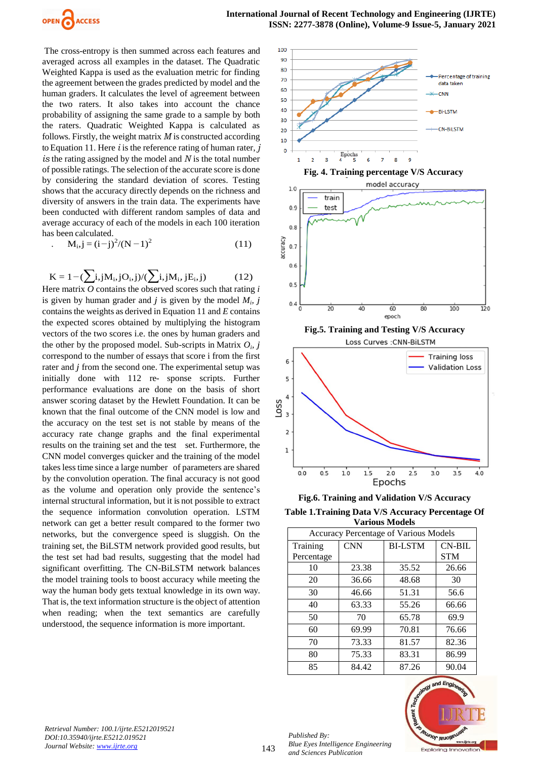

The cross-entropy is then summed across each features and averaged across all examples in the dataset. The Quadratic Weighted Kappa is used as the evaluation metric for finding the agreement between the grades predicted by model and the human graders. It calculates the level of agreement between the two raters. It also takes into account the chance probability of assigning the same grade to a sample by both the raters. Quadratic Weighted Kappa is calculated as follows. Firstly, the weight matrix *M* is constructed according to Equation 11. Here *i* is the reference rating of human rater, *j is* the rating assigned by the model and *N* is the total number of possible ratings. The selection of the accurate score is done by considering the standard deviation of scores. Testing shows that the accuracy directly depends on the richness and diversity of answers in the train data. The experiments have been conducted with different random samples of data and average accuracy of each of the models in each 100 iteration has been calculated.

$$
M_{i,j} = (i-j)^{2}/(N-1)^{2}
$$
 (11)

$$
K = 1 - (\sum_{i,j} N_{i,j} O_{i,j}) / (\sum_{i,j} N_{i,j} E_{i,j})
$$
 (12)

Here matrix *O* contains the observed scores such that rating *i*  is given by human grader and  $j$  is given by the model  $M_i$ ,  $j$ contains the weights as derived in Equation 11 and *E* contains the expected scores obtained by multiplying the histogram vectors of the two scores i.e. the ones by human graders and the other by the proposed model. Sub-scripts in Matrix  $O_i$ , j correspond to the number of essays that score i from the first rater and *j* from the second one. The experimental setup was initially done with 112 re- sponse scripts. Further performance evaluations are done on the basis of short answer scoring dataset by the Hewlett Foundation. It can be known that the final outcome of the CNN model is low and the accuracy on the test set is not stable by means of the accuracy rate change graphs and the final experimental results on the training set and the test set. Furthermore, the CNN model converges quicker and the training of the model takes less time since a large number of parameters are shared by the convolution operation. The final accuracy is not good as the volume and operation only provide the sentence's internal structural information, but it is not possible to extract the sequence information convolution operation. LSTM network can get a better result compared to the former two networks, but the convergence speed is sluggish. On the training set, the BiLSTM network provided good results, but the test set had bad results, suggesting that the model had significant overfitting. The CN-BiLSTM network balances the model training tools to boost accuracy while meeting the way the human body gets textual knowledge in its own way. That is, the text information structure is the object of attention when reading; when the text semantics are carefully understood, the sequence information is more important.





**Fig.6. Training and Validation V/S Accuracy Table 1.Training Data V/S Accuracy Percentage Of** 

| re recuming Data Wo recuracy i creentage |  |
|------------------------------------------|--|
| <b>Various Models</b>                    |  |

| <b>Accuracy Percentage of Various Models</b> |            |                |            |
|----------------------------------------------|------------|----------------|------------|
| Training                                     | <b>CNN</b> | <b>BI-LSTM</b> | $CN-BIL$   |
| Percentage                                   |            |                | <b>STM</b> |
| 10                                           | 23.38      | 35.52          | 26.66      |
| 20                                           | 36.66      | 48.68          | 30         |
| 30                                           | 46.66      | 51.31          | 56.6       |
| 40                                           | 63.33      | 55.26          | 66.66      |
| 50                                           | 70         | 65.78          | 69.9       |
| 60                                           | 69.99      | 70.81          | 76.66      |
| 70                                           | 73.33      | 81.57          | 82.36      |
| 80                                           | 75.33      | 83.31          | 86.99      |
| 85                                           | 84.42      | 87.26          | 90.04      |



*Retrieval Number: 100.1/ijrte.E5212019521 DOI:10.35940/ijrte.E5212.019521 Journal Website: www.ijrte.org*

143

*Published By: Blue Eyes Intelligence Engineering and Sciences Publication*